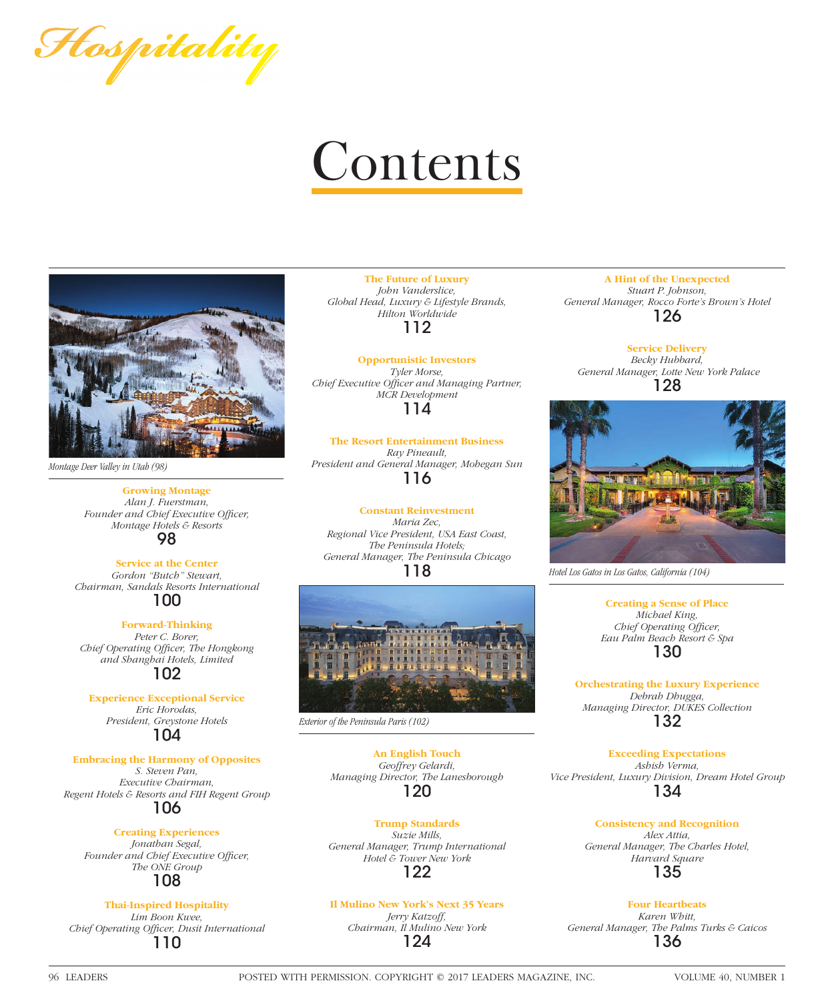Flospitality

# **Contents**



*Montage Deer Valley in Utah (98)*

**Growing Montage** *Alan J. Fuerstman,*  Founder and Chief Executive Officer, *Montage Hotels & Resorts* 98

**Service at the Center** *Gordon "Butch" Stewart, Chairman, Sandals Resorts International* 100

**Forward-Thinking** *Peter C. Borer, Chief Operating Offi cer, The Hongkong and Shanghai Hotels, Limited* 102

**Experience Exceptional Service** *Eric Horodas, President, Greystone Hotels* 104

**Embracing the Harmony of Opposites**

*S. Steven Pan, Executive Chairman, Regent Hotels & Resorts and FIH Regent Group* 106

# **Creating Experiences**

*Jonathan Segal,*  Founder and Chief Executive Officer, *The ONE Group* 108

# **Thai-Inspired Hospitality**

*Lim Boon Kwee, Chief Operating Offi cer, Dusit International* 110

**The Future of Luxury** *John Vanderslice, Global Head, Luxury & Lifestyle Brands, Hilton Worldwide* 112

**Opportunistic Investors** *Tyler Morse,*  **Chief Executive Officer and Managing Partner,** *MCR Development* 114

**The Resort Entertainment Business** *Ray Pineault, President and General Manager, Mohegan Sun* 116

**Constant Reinvestment** *Maria Zec, Regional Vice President, USA East Coast, The Peninsula Hotels; General Manager, The Peninsula Chicago* 118



*Exterior of the Peninsula Paris (102)*

**An English Touch** *Geoffrey Gelardi, Managing Director, The Lanesborough* 120

**Trump Standards** *Suzie Mills, General Manager, Trump International Hotel & Tower New York* 122

# **Il Mulino New York's Next 35 Years**

*Jerry Katzoff, Chairman, Il Mulino New York* 124

**A Hint of the Unexpected** *Stuart P. Johnson, General Manager, Rocco Forte's Brown's Hotel* 126

**Service Delivery** *Becky Hubbard, General Manager, Lotte New York Palace* 128



*Hotel Los Gatos in Los Gatos, California (104)*

**Creating a Sense of Place** *Michael King, Chief Operating Officer, Eau Palm Beach Resort & Spa* 130

**Orchestrating the Luxury Experience** *Debrah Dhugga, Managing Director, DUKES Collection* 132

**Exceeding Expectations** *Ashish Verma, Vice President, Luxury Division, Dream Hotel Group* 134

> **Consistency and Recognition** *Alex Attia, General Manager, The Charles Hotel, Harvard Square* 135

**Four Heartbeats** *Karen Whitt, General Manager, The Palms Turks & Caicos* 136